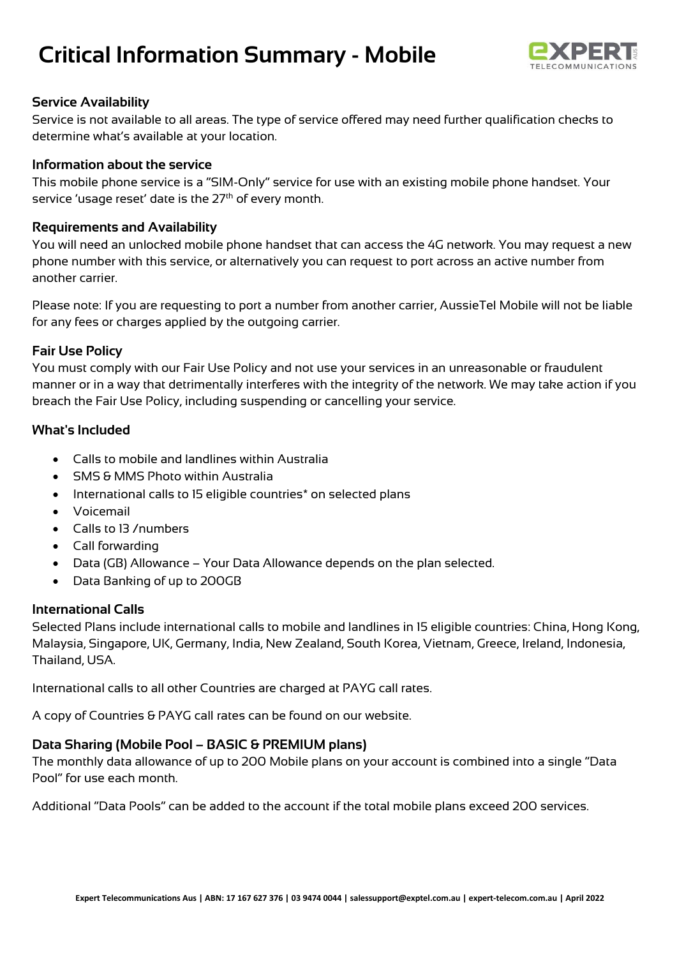# **Critical Information Summary - Mobile**



## **Service Availability**

Service is not available to all areas. The type of service offered may need further qualification checks to determine what's available at your location.

## **Information about the service**

This mobile phone service is a "SIM-Only" service for use with an existing mobile phone handset. Your service 'usage reset' date is the 27<sup>th</sup> of every month.

# **Requirements and Availability**

You will need an unlocked mobile phone handset that can access the 4G network. You may request a new phone number with this service, or alternatively you can request to port across an active number from another carrier.

Please note: If you are requesting to port a number from another carrier, AussieTel Mobile will not be liable for any fees or charges applied by the outgoing carrier.

## **Fair Use Policy**

You must comply with our Fair Use Policy and not use your services in an unreasonable or fraudulent manner or in a way that detrimentally interferes with the integrity of the network. We may take action if you breach the Fair Use Policy, including suspending or cancelling your service.

## **What's Included**

- Calls to mobile and landlines within Australia
- SMS & MMS Photo within Australia
- International calls to 15 eligible countries\* on selected plans
- Voicemail
- Calls to 13 /numbers
- Call forwarding
- Data (GB) Allowance Your Data Allowance depends on the plan selected.
- Data Banking of up to 200GB

## **International Calls**

Selected Plans include international calls to mobile and landlines in 15 eligible countries: China, Hong Kong, Malaysia, Singapore, UK, Germany, India, New Zealand, South Korea, Vietnam, Greece, Ireland, Indonesia, Thailand, USA.

International calls to all other Countries are charged at PAYG call rates.

A copy of Countries & PAYG call rates can be found on our website.

# **Data Sharing (Mobile Pool – BASIC & PREMIUM plans)**

The monthly data allowance of up to 200 Mobile plans on your account is combined into a single "Data Pool" for use each month.

Additional "Data Pools" can be added to the account if the total mobile plans exceed 200 services.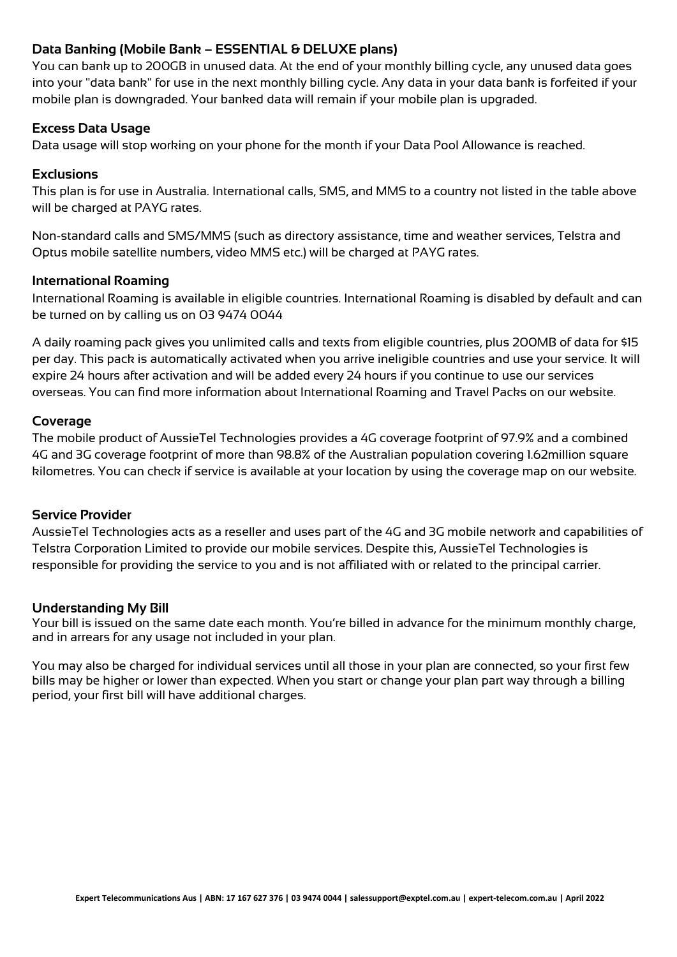# **Data Banking (Mobile Bank – ESSENTIAL & DELUXE plans)**

You can bank up to 200GB in unused data. At the end of your monthly billing cycle, any unused data goes into your "data bank" for use in the next monthly billing cycle. Any data in your data bank is forfeited if your mobile plan is downgraded. Your banked data will remain if your mobile plan is upgraded.

# **Excess Data Usage**

Data usage will stop working on your phone for the month if your Data Pool Allowance is reached.

## **Exclusions**

This plan is for use in Australia. International calls, SMS, and MMS to a country not listed in the table above will be charged at PAYG rates.

Non-standard calls and SMS/MMS (such as directory assistance, time and weather services, Telstra and Optus mobile satellite numbers, video MMS etc.) will be charged at PAYG rates.

## **International Roaming**

International Roaming is available in eligible countries. International Roaming is disabled by default and can be turned on by calling us on 03 9474 0044

A daily roaming pack gives you unlimited calls and texts from eligible countries, plus 200MB of data for \$15 per day. This pack is automatically activated when you arrive ineligible countries and use your service. It will expire 24 hours after activation and will be added every 24 hours if you continue to use our services overseas. You can find more information about International Roaming and Travel Packs on our website.

## **Coverage**

The mobile product of AussieTel Technologies provides a 4G coverage footprint of 97.9% and a combined 4G and 3G coverage footprint of more than 98.8% of the Australian population covering 1.62million square kilometres. You can check if service is available at your location by using the coverage map on our website.

## **Service Provider**

AussieTel Technologies acts as a reseller and uses part of the 4G and 3G mobile network and capabilities of Telstra Corporation Limited to provide our mobile services. Despite this, AussieTel Technologies is responsible for providing the service to you and is not affiliated with or related to the principal carrier.

# **Understanding My Bill**

Your bill is issued on the same date each month. You're billed in advance for the minimum monthly charge, and in arrears for any usage not included in your plan.

You may also be charged for individual services until all those in your plan are connected, so your first few bills may be higher or lower than expected. When you start or change your plan part way through a billing period, your first bill will have additional charges.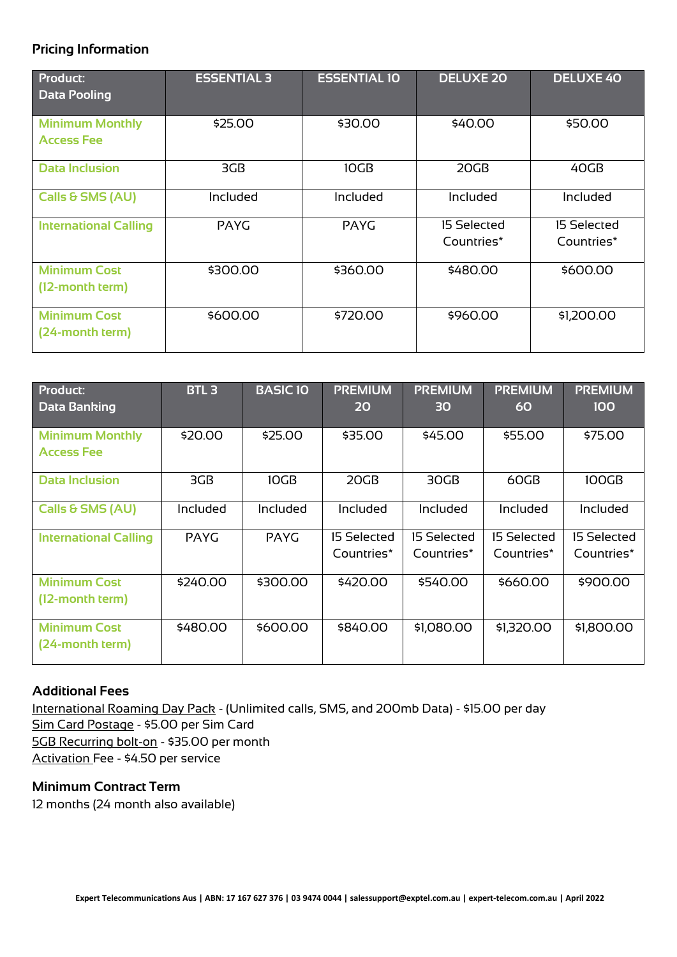# **Pricing Information**

| Product:<br><b>Data Pooling</b>             | <b>ESSENTIAL 3</b> | <b>ESSENTIAL 10</b> | <b>DELUXE 20</b>          | <b>DELUXE 40</b>          |
|---------------------------------------------|--------------------|---------------------|---------------------------|---------------------------|
| <b>Minimum Monthly</b><br><b>Access Fee</b> | \$25.00            | \$30.00             | \$40.00                   | \$50.00                   |
| <b>Data Inclusion</b>                       | 3GB                | 10GB                | 20GB                      | 40GB                      |
| Calls & SMS (AU)                            | Included           | <b>Included</b>     | Included                  | Included                  |
| <b>International Calling</b>                | <b>PAYG</b>        | <b>PAYG</b>         | 15 Selected<br>Countries* | 15 Selected<br>Countries* |
| <b>Minimum Cost</b><br>(12-month term)      | \$300.00           | \$360.00            | \$480.00                  | \$600.00                  |
| <b>Minimum Cost</b><br>(24-month term)      | \$600.00           | \$720.00            | \$960.00                  | \$1,200.00                |

| <b>Product:</b><br><b>Data Banking</b>      | <b>BTL3</b> | <b>BASIC10</b> | <b>PREMIUM</b><br>20      | <b>PREMIUM</b><br>30      | <b>PREMIUM</b><br>60      | <b>PREMIUM</b><br>100     |
|---------------------------------------------|-------------|----------------|---------------------------|---------------------------|---------------------------|---------------------------|
| <b>Minimum Monthly</b><br><b>Access Fee</b> | \$20.00     | \$25.00        | \$35.00                   | \$45.00                   | \$55.00                   | \$75.00                   |
| <b>Data Inclusion</b>                       | 3GB         | 10GB           | 20GB                      | 30GB                      | 60GB                      | 100GB                     |
| Calls & SMS (AU)                            | Included    | Included       | Included                  | Included                  | Included                  | Included                  |
| <b>International Calling</b>                | <b>PAYG</b> | <b>PAYG</b>    | 15 Selected<br>Countries* | 15 Selected<br>Countries* | 15 Selected<br>Countries* | 15 Selected<br>Countries* |
| <b>Minimum Cost</b><br>(12-month term)      | \$240.00    | \$300.00       | \$420.00                  | \$540.00                  | \$660.00                  | \$900.00                  |
| <b>Minimum Cost</b><br>(24-month term)      | \$480.00    | \$600.00       | \$840.00                  | \$1,080.00                | \$1,320.00                | \$1,800.00                |

# **Additional Fees**

International Roaming Day Pack - (Unlimited calls, SMS, and 200mb Data) - \$15.00 per day Sim Card Postage - \$5.00 per Sim Card 5GB Recurring bolt-on - \$35.00 per month Activation Fee - \$4.50 per service

## **Minimum Contract Term**

12 months (24 month also available)